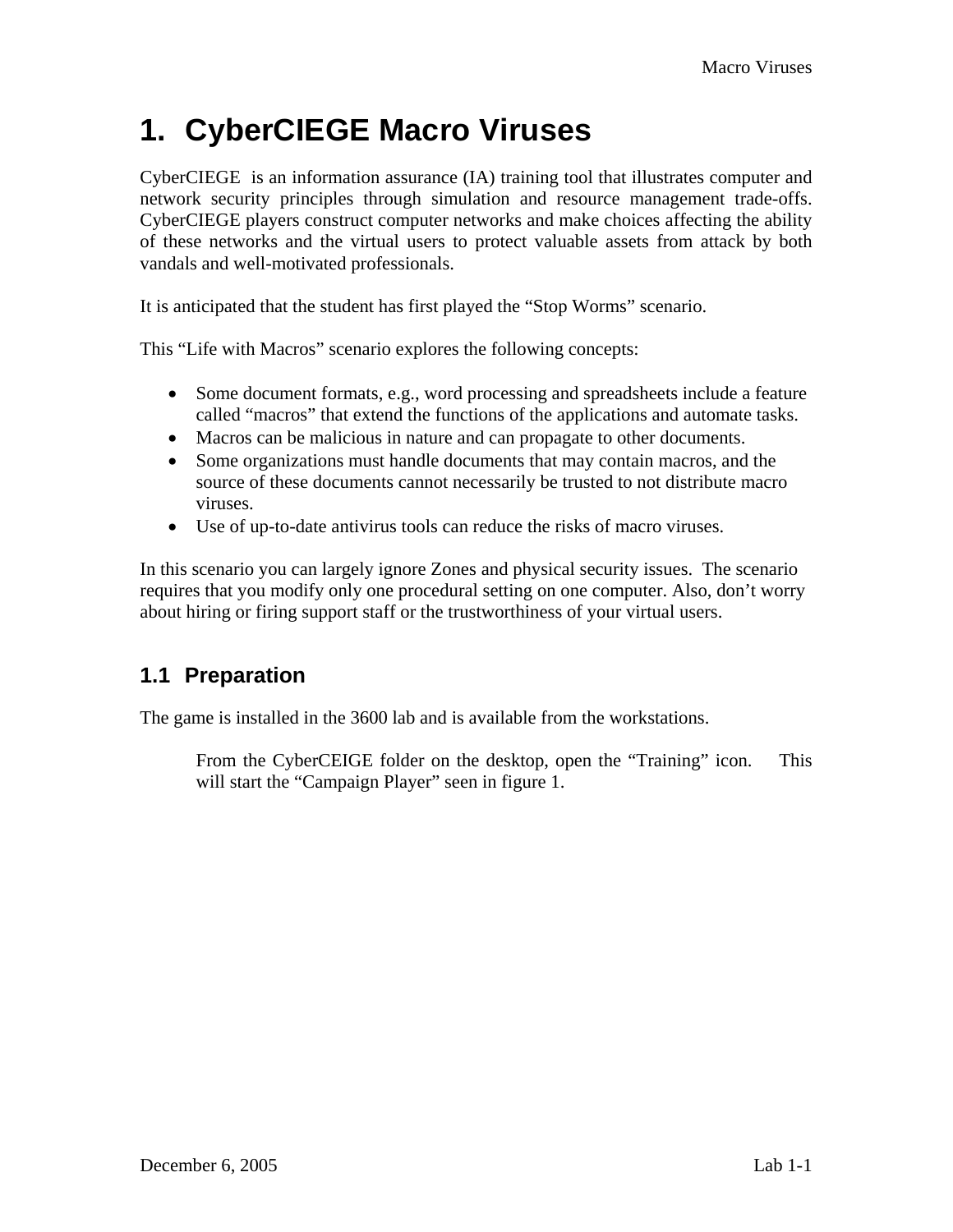# **1. CyberCIEGE Macro Viruses**

CyberCIEGE is an information assurance (IA) training tool that illustrates computer and network security principles through simulation and resource management trade-offs. CyberCIEGE players construct computer networks and make choices affecting the ability of these networks and the virtual users to protect valuable assets from attack by both vandals and well-motivated professionals.

It is anticipated that the student has first played the "Stop Worms" scenario.

This "Life with Macros" scenario explores the following concepts:

- Some document formats, e.g., word processing and spreadsheets include a feature called "macros" that extend the functions of the applications and automate tasks.
- Macros can be malicious in nature and can propagate to other documents.
- Some organizations must handle documents that may contain macros, and the source of these documents cannot necessarily be trusted to not distribute macro viruses.
- Use of up-to-date antivirus tools can reduce the risks of macro viruses.

In this scenario you can largely ignore Zones and physical security issues. The scenario requires that you modify only one procedural setting on one computer. Also, don't worry about hiring or firing support staff or the trustworthiness of your virtual users.

## **1.1 Preparation**

The game is installed in the 3600 lab and is available from the workstations.

From the CyberCEIGE folder on the desktop, open the "Training" icon. This will start the "Campaign Player" seen in figure 1.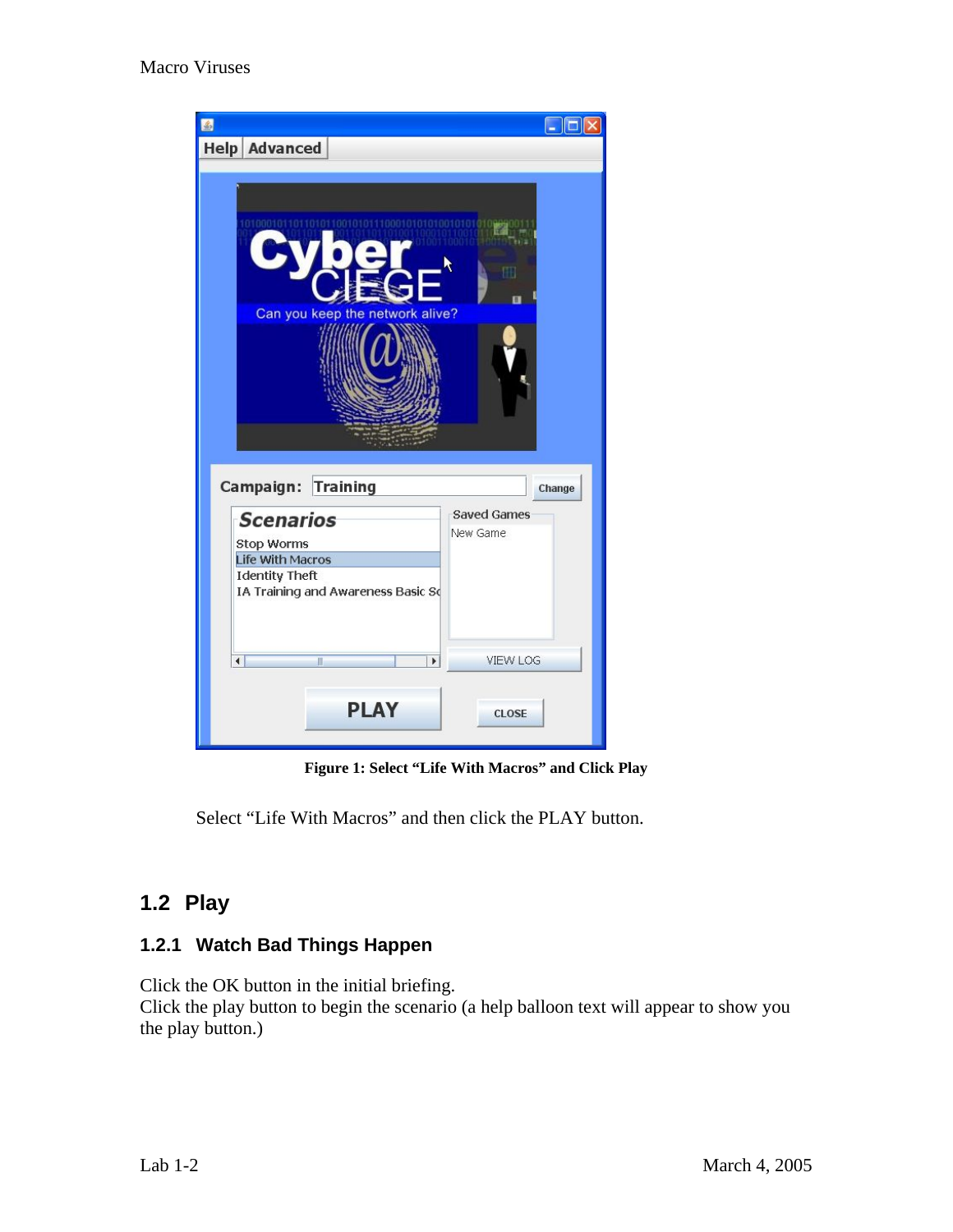

**Figure 1: Select "Life With Macros" and Click Play** 

Select "Life With Macros" and then click the PLAY button.

## **1.2 Play**

### **1.2.1 Watch Bad Things Happen**

Click the OK button in the initial briefing.

Click the play button to begin the scenario (a help balloon text will appear to show you the play button.)